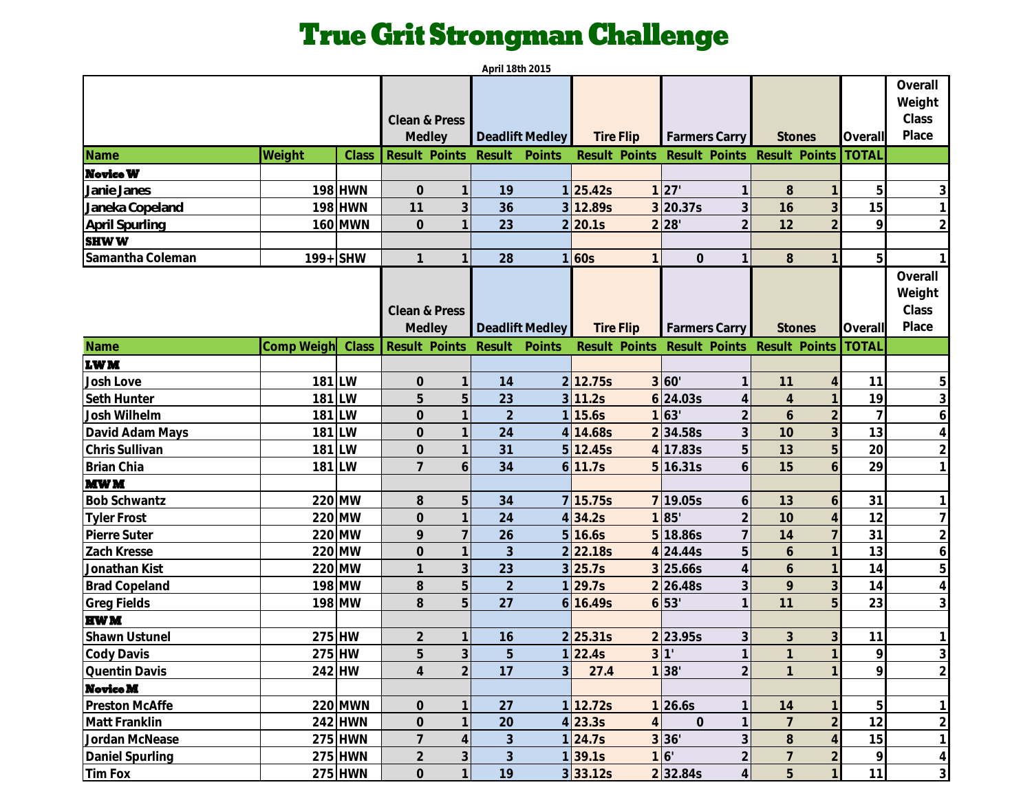## True Grit Strongman Challenge

|                      |            |                |                                  | April 18th 2015  |                |                       |                                |                                  |                |                                     |
|----------------------|------------|----------------|----------------------------------|------------------|----------------|-----------------------|--------------------------------|----------------------------------|----------------|-------------------------------------|
|                      |            |                | Clean & Press<br>Medley          | Deadlift Medley  |                | <b>Tire Flip</b>      | Farmers Carry                  | <b>Stones</b>                    | Overall        | Overall<br>Weight<br>Class<br>Place |
| Name                 | Weight     | Class          | <b>Result Points</b>             | Result<br>Points |                | Result Points         |                                | Result Points Result Points      | <b>TOTAL</b>   |                                     |
| <b>Novice W</b>      |            |                |                                  |                  |                |                       |                                |                                  |                |                                     |
| Janie Janes          |            | 198 HWN        | $\mathcal O$                     | 19               |                | 1 25.42s              | 1 27                           | $8\,$                            | 5              |                                     |
| Janeka Copeland      |            | 198 HWN        | 11<br>3                          | 36               |                | 3 12.89s              | $3$ 20.37s<br>3                | 16<br>3                          | 15             |                                     |
| April Spurling       |            | <b>160 MWN</b> | $\mathbf 0$                      | 23               |                | 2 20.1s               | 2 28<br>$\overline{2}$         | 12<br>$\overline{2}$             | 9              | $\overline{2}$                      |
| <b>SHWW</b>          |            |                |                                  |                  |                |                       |                                |                                  |                |                                     |
| Samantha Coleman     | 199+ SHW   |                | $\mathbf{1}$                     | 28               |                | 1 60s<br>$\mathbf{1}$ | $\overline{O}$                 | 8                                | 5              |                                     |
|                      |            |                | Clean & Press<br>Medley          | Deadlift Medley  |                | <b>Tire Flip</b>      | Farmers Carry                  | <b>Stones</b>                    | Overall        | Overall<br>Weight<br>Class<br>Place |
| Name                 | Comp Weigh | Class          | Result Points                    | Result<br>Points |                | Result Points         | Result Points                  | Result Points                    | <b>TOTAL</b>   |                                     |
| <b>LWM</b>           |            |                |                                  |                  |                |                       |                                |                                  |                |                                     |
| Josh Love            | 181 LW     |                | $\overline{0}$                   | 14               |                | 2 12.75s              | 3'60'<br>$\mathbf{1}$          | 11<br>$\overline{4}$             | 11             | 5                                   |
| Seth Hunter          | 181 LW     |                | 5<br>5                           | 23               |                | 3 11.2s               | $6$ 24.03s<br>4                | $\overline{4}$                   | 19             | 3                                   |
| Josh Wilhelm         | 181 LW     |                | $\overline{O}$                   | $\overline{2}$   |                | 1 15.6s               | 1 63<br>$\overline{2}$         | 6                                | $\overline{7}$ | 6                                   |
| David Adam Mays      | 181 LW     |                | $\mathbf 0$                      | 24               |                | 4 14.68s              | 3<br>234.58s                   | 3<br>10                          | 13             | 4                                   |
| Chris Sullivan       | 181 LW     |                | $\overline{O}$                   | 31               |                | 5 12.45s              | 5<br>4 17.83s                  | 5<br>13                          | 20             | $\overline{2}$                      |
| Brian Chia           | 181 LW     |                | $\overline{7}$<br>6              | 34               |                | 6 11.7s               | $5$ 16.31s<br>6                | 15<br>6                          | 29             |                                     |
| <b>MWM</b>           |            |                |                                  |                  |                |                       |                                |                                  |                |                                     |
| <b>Bob Schwantz</b>  |            | 220 MW         | 8<br>5                           | 34               |                | 7 15.75s              | 7 19.05s<br>6                  | 13<br>6                          | 31             |                                     |
| <b>Tyler Frost</b>   |            | 220 MW         | $\overline{O}$                   | 24               |                | 4 34.2s               | $\overline{2}$<br>1 85         | 10                               | 12             |                                     |
| Pierre Suter         |            | 220 MW         | 9                                | 26               |                | 5 16.6s               | 5 18.86s                       | 14                               | 31             | $\overline{2}$                      |
| Zach Kresse          |            | 220 MW         | $\mathbf 0$                      | 3                |                | 2 22.18s              | 5<br>4 24.44s                  | 6                                | 13             | 6                                   |
| Jonathan Kist        |            | 220 MW         | $\mathbf{1}$<br>3                | 23               |                | 3 25.7s               | $3$ 25.66s<br>$\overline{4}$   | 6                                | 14             | 5                                   |
| <b>Brad Copeland</b> |            | 198 MW         | 8<br>5                           | $\overline{2}$   |                | 1 29.7s               | 3<br>2 26.48s                  | 3<br>9                           | 14             | 4                                   |
| <b>Greg Fields</b>   |            | 198 MW         | 8<br>5                           | 27               | $6 \mid$       | 16.49s                | 6 53                           | 5<br>11                          | 23             | 3                                   |
| <b>HWM</b>           |            |                |                                  |                  |                |                       |                                |                                  |                |                                     |
| Shawn Ustunel        | 275 HW     |                | $\overline{2}$                   | 16               |                | 2 25.31s              | 2 23.95s<br>3                  | 3<br>3                           | 11             |                                     |
| Cody Davis           | 275 HW     |                | 3<br>5                           | 5                |                | 1 22.4s               | 3 <sup>1</sup><br>$\mathbf{1}$ |                                  | $\overline{9}$ | $\mathfrak{Z}$                      |
| Quentin Davis        |            | 242 HW         | $\overline{2}$<br>$\overline{4}$ | 17               | 3 <sup>l</sup> | 27.4                  | $\overline{2}$<br>1 38'        |                                  | O              | $\overline{2}$                      |
| <b>Novice M</b>      |            |                |                                  |                  |                |                       |                                |                                  |                |                                     |
| Preston McAffe       |            | 220 MWN        | $\mathsf{O}\xspace$              | 27               |                | 1 12.72s              | 1 26.6s                        | 14                               | 5              |                                     |
| Matt Franklin        |            | 242 HWN        | $\mathsf{O}\xspace$              | 20               |                | 4 23.3s<br>4          | $\overline{O}$                 | $\overline{2}$                   | 12             | $\overline{2}$                      |
| Jordan McNease       |            | 275 HWN        | $\overline{7}$                   | $\mathfrak{Z}$   |                | 1 24.7s               | 3<br>3 36'                     | 8<br>$\overline{4}$              | 15             | $\mathbf{1}$                        |
| Daniel Spurling      |            | 275 HWN        | $\overline{2}$<br>$\mathfrak{Z}$ | $\mathfrak{Z}$   |                | 1 39.1s               | 16'<br>$\overline{2}$          | $\overline{7}$<br>$\overline{2}$ | $\mathsf{Q}$   | $\overline{4}$                      |
| Tim Fox              |            | 275 HWN        | $\overline{O}$<br>$\mathbf{1}$   | 19               |                | 3 33.12s              | 2 32.84s<br>$\overline{4}$     | 5<br>$\mathbf{1}$                | 11             | $\mathfrak{S}$                      |